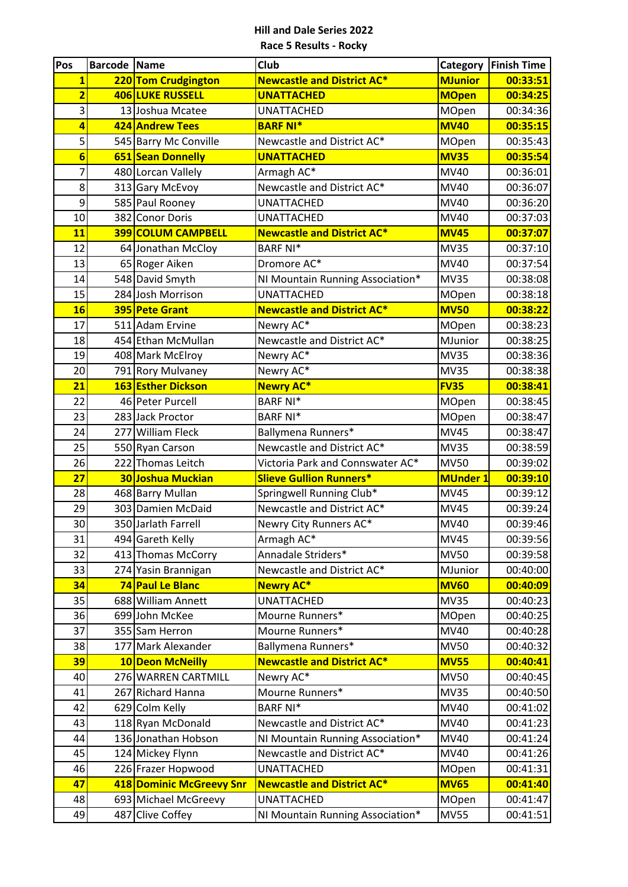| Pos                     | <b>Barcode Name</b> |                                          | <b>Club</b>                                                    | Category                   | <b>Finish Time</b>   |
|-------------------------|---------------------|------------------------------------------|----------------------------------------------------------------|----------------------------|----------------------|
| $\overline{\mathbf{1}}$ |                     | 220 Tom Crudgington                      | <b>Newcastle and District AC*</b>                              | <b>MJunior</b>             | 00:33:51             |
| $\overline{\mathbf{2}}$ |                     | 406 LUKE RUSSELL                         | <b>UNATTACHED</b>                                              | <b>MOpen</b>               | 00:34:25             |
| 3                       |                     | 13 Joshua Mcatee                         | <b>UNATTACHED</b>                                              | MOpen                      | 00:34:36             |
| 4                       |                     | 424 Andrew Tees                          | <b>BARF NI*</b>                                                | <b>MV40</b>                | 00:35:15             |
| 5                       |                     | 545 Barry Mc Conville                    | Newcastle and District AC*                                     | <b>MOpen</b>               | 00:35:43             |
| $6\phantom{1}6$         |                     | 651 Sean Donnelly                        | <b>UNATTACHED</b>                                              | <b>MV35</b>                | 00:35:54             |
| 7                       |                     | 480 Lorcan Vallely                       | Armagh AC*                                                     | MV40                       | 00:36:01             |
| 8                       |                     | 313 Gary McEvoy                          | Newcastle and District AC*                                     | <b>MV40</b>                | 00:36:07             |
| $\overline{9}$          |                     | 585 Paul Rooney                          | <b>UNATTACHED</b>                                              | MV40                       | 00:36:20             |
| 10                      |                     | 382 Conor Doris                          | <b>UNATTACHED</b>                                              | <b>MV40</b>                | 00:37:03             |
| 11                      |                     | <b>399 COLUM CAMPBELL</b>                | <b>Newcastle and District AC*</b>                              | <b>MV45</b>                | 00:37:07             |
| 12                      |                     | 64 Jonathan McCloy                       | <b>BARF NI*</b>                                                | <b>MV35</b>                | 00:37:10             |
| 13                      |                     | 65 Roger Aiken                           | Dromore AC*                                                    | <b>MV40</b>                | 00:37:54             |
| 14                      |                     | 548 David Smyth                          | NI Mountain Running Association*                               | <b>MV35</b>                | 00:38:08             |
| 15                      |                     | 284 Josh Morrison                        | <b>UNATTACHED</b>                                              | <b>MOpen</b>               | 00:38:18             |
| 16                      |                     | 395 Pete Grant                           | <b>Newcastle and District AC*</b>                              | <b>MV50</b>                | 00:38:22             |
| 17                      |                     | 511 Adam Ervine                          | Newry AC*                                                      | <b>MOpen</b>               | 00:38:23             |
| 18                      |                     | 454 Ethan McMullan                       | Newcastle and District AC*                                     | MJunior                    | 00:38:25             |
| 19                      |                     | 408 Mark McElroy                         | Newry AC*                                                      | <b>MV35</b>                | 00:38:36             |
| 20                      |                     | 791 Rory Mulvaney                        | Newry AC*                                                      | <b>MV35</b>                | 00:38:38             |
| 21                      |                     | 163 Esther Dickson                       | <b>Newry AC*</b>                                               | <b>FV35</b>                | 00:38:41             |
| 22                      |                     | 46 Peter Purcell                         | <b>BARF NI*</b>                                                | <b>MOpen</b>               | 00:38:45             |
| 23                      |                     | 283 Jack Proctor                         | <b>BARF NI*</b>                                                | <b>MOpen</b>               | 00:38:47             |
| 24                      |                     | 277 William Fleck                        | Ballymena Runners*                                             | <b>MV45</b>                | 00:38:47             |
| 25                      |                     | 550 Ryan Carson                          | Newcastle and District AC*                                     | <b>MV35</b>                | 00:38:59             |
| 26                      |                     | 222 Thomas Leitch                        | Victoria Park and Connswater AC*                               | <b>MV50</b>                | 00:39:02             |
| $\overline{27}$         |                     | 30 Joshua Muckian                        | <b>Slieve Gullion Runners*</b>                                 | <b>MUnder 1</b>            | 00:39:10             |
| 28                      |                     | 468 Barry Mullan                         | Springwell Running Club*                                       | <b>MV45</b>                | 00:39:12             |
| 29                      |                     | 303 Damien McDaid                        | Newcastle and District AC*                                     | <b>MV45</b>                | 00:39:24             |
| 30                      |                     | 350 Jarlath Farrell                      | Newry City Runners AC*                                         | <b>MV40</b>                | 00:39:46             |
| 31                      |                     | 494 Gareth Kelly                         | Armagh AC*                                                     | <b>MV45</b>                | 00:39:56             |
| 32                      |                     | 413 Thomas McCorry                       | Annadale Striders*                                             | <b>MV50</b>                | 00:39:58             |
| 33                      |                     | 274 Yasin Brannigan                      | Newcastle and District AC*                                     | MJunior                    | 00:40:00             |
| 34                      |                     | 74 Paul Le Blanc                         | <b>Newry AC*</b>                                               | <b>MV60</b>                | 00:40:09             |
| 35                      |                     | 688 William Annett                       | <b>UNATTACHED</b>                                              | <b>MV35</b>                | 00:40:23             |
| 36                      |                     | 699 John McKee                           | Mourne Runners*                                                | MOpen                      | 00:40:25             |
| 37                      |                     | 355 Sam Herron                           | Mourne Runners*                                                | <b>MV40</b>                | 00:40:28             |
| 38                      |                     | 177 Mark Alexander                       | Ballymena Runners*                                             | <b>MV50</b>                | 00:40:32             |
| 39                      |                     | 10 Deon McNeilly                         | <b>Newcastle and District AC*</b>                              | <b>MV55</b>                | 00:40:41             |
| 40                      |                     | 276 WARREN CARTMILL                      | Newry AC*<br>Mourne Runners*                                   | <b>MV50</b>                | 00:40:45             |
| 41                      |                     | 267 Richard Hanna                        |                                                                | <b>MV35</b>                | 00:40:50             |
| 42                      |                     | 629 Colm Kelly                           | <b>BARF NI*</b>                                                | <b>MV40</b>                | 00:41:02             |
| 43<br>44                |                     | 118 Ryan McDonald<br>136 Jonathan Hobson | Newcastle and District AC*                                     | <b>MV40</b><br><b>MV40</b> | 00:41:23<br>00:41:24 |
| 45                      |                     |                                          | NI Mountain Running Association*<br>Newcastle and District AC* | <b>MV40</b>                |                      |
| 46                      |                     | 124 Mickey Flynn<br>226 Frazer Hopwood   | <b>UNATTACHED</b>                                              | MOpen                      | 00:41:26<br>00:41:31 |
|                         |                     | 418 Dominic McGreevy Snr                 | <b>Newcastle and District AC*</b>                              | <b>MV65</b>                |                      |
| 47<br>48                |                     | 693 Michael McGreevy                     | <b>UNATTACHED</b>                                              | <b>MOpen</b>               | 00:41:40<br>00:41:47 |
|                         |                     | 487 Clive Coffey                         |                                                                | <b>MV55</b>                | 00:41:51             |
| 49                      |                     |                                          | NI Mountain Running Association*                               |                            |                      |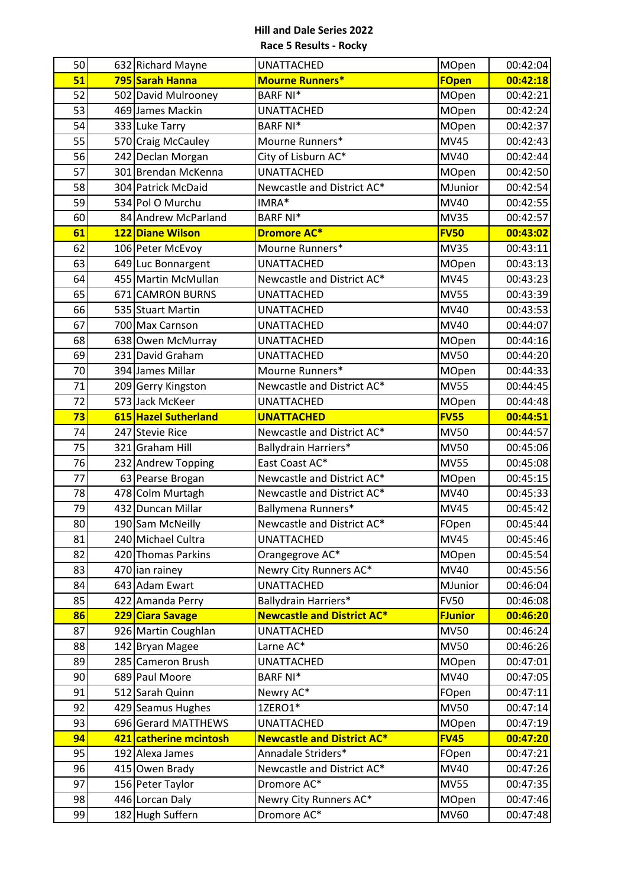| 50       | 632 Richard Mayne                        | <b>UNATTACHED</b>                         | <b>MOpen</b>   | 00:42:04             |
|----------|------------------------------------------|-------------------------------------------|----------------|----------------------|
| 51       | 795 Sarah Hanna                          | <b>Mourne Runners*</b>                    | <b>FOpen</b>   | 00:42:18             |
| 52       | 502 David Mulrooney                      | <b>BARF NI*</b>                           | MOpen          | 00:42:21             |
| 53       | 469 James Mackin                         | <b>UNATTACHED</b>                         | <b>MOpen</b>   | 00:42:24             |
| 54       | 333 Luke Tarry                           | <b>BARF NI*</b>                           | MOpen          | 00:42:37             |
| 55       | 570 Craig McCauley                       | Mourne Runners*                           | <b>MV45</b>    | 00:42:43             |
| 56       | 242 Declan Morgan                        | City of Lisburn AC*                       | MV40           | 00:42:44             |
| 57       | 301 Brendan McKenna                      | <b>UNATTACHED</b>                         | MOpen          | 00:42:50             |
| 58       | 304 Patrick McDaid                       | Newcastle and District AC*                | MJunior        | 00:42:54             |
| 59       | 534 Pol O Murchu                         | IMRA*                                     | MV40           | 00:42:55             |
| 60       | 84 Andrew McParland                      | <b>BARF NI*</b>                           | <b>MV35</b>    | 00:42:57             |
| 61       | 122 Diane Wilson                         | <b>Dromore AC*</b>                        | <b>FV50</b>    | 00:43:02             |
| 62       | 106 Peter McEvoy                         | Mourne Runners*                           | <b>MV35</b>    | 00:43:11             |
| 63       | 649 Luc Bonnargent                       | <b>UNATTACHED</b>                         | MOpen          | 00:43:13             |
| 64       | 455 Martin McMullan                      | Newcastle and District AC*                | <b>MV45</b>    | 00:43:23             |
| 65       | 671 CAMRON BURNS                         | <b>UNATTACHED</b>                         | <b>MV55</b>    | 00:43:39             |
| 66       | 535 Stuart Martin                        | <b>UNATTACHED</b>                         | <b>MV40</b>    | 00:43:53             |
| 67       | 700 Max Carnson                          | <b>UNATTACHED</b>                         | <b>MV40</b>    | 00:44:07             |
| 68       | 638 Owen McMurray                        | <b>UNATTACHED</b>                         | MOpen          | 00:44:16             |
| 69       | 231 David Graham                         | <b>UNATTACHED</b>                         | <b>MV50</b>    | 00:44:20             |
| 70       | 394 James Millar                         | Mourne Runners*                           | MOpen          | 00:44:33             |
| 71       | 209 Gerry Kingston                       | Newcastle and District AC*                | <b>MV55</b>    | 00:44:45             |
| 72       | 573 Jack McKeer                          | <b>UNATTACHED</b>                         | MOpen          | 00:44:48             |
| 73       | 615 Hazel Sutherland                     | <b>UNATTACHED</b>                         | <b>FV55</b>    | 00:44:51             |
| 74       | 247 Stevie Rice                          | Newcastle and District AC*                | <b>MV50</b>    | 00:44:57             |
| 75       | 321 Graham Hill                          | Ballydrain Harriers*                      | <b>MV50</b>    | 00:45:06             |
| 76       | 232 Andrew Topping                       | East Coast AC*                            | <b>MV55</b>    | 00:45:08             |
| 77       | 63 Pearse Brogan                         | Newcastle and District AC*                | MOpen          | 00:45:15             |
| 78       | 478 Colm Murtagh                         | Newcastle and District AC*                | MV40           | 00:45:33             |
| 79       | 432 Duncan Millar                        | Ballymena Runners*                        | <b>MV45</b>    | 00:45:42             |
| 80       | 190 Sam McNeilly                         | Newcastle and District AC*                | FOpen          | 00:45:44             |
| 81       | 240 Michael Cultra<br>420 Thomas Parkins | <b>UNATTACHED</b>                         | <b>MV45</b>    | 00:45:46             |
| 82       | 470 ian rainey                           | Orangegrove AC*<br>Newry City Runners AC* | MOpen<br>MV40  | 00:45:54             |
| 83<br>84 | 643 Adam Ewart                           | <b>UNATTACHED</b>                         | MJunior        | 00:45:56<br>00:46:04 |
| 85       | 422 Amanda Perry                         | <b>Ballydrain Harriers*</b>               | <b>FV50</b>    | 00:46:08             |
| 86       | 229 Ciara Savage                         | <b>Newcastle and District AC*</b>         | <b>FJunior</b> | 00:46:20             |
| 87       | 926 Martin Coughlan                      | <b>UNATTACHED</b>                         | <b>MV50</b>    | 00:46:24             |
| 88       | 142 Bryan Magee                          | Larne AC*                                 | <b>MV50</b>    | 00:46:26             |
| 89       | 285 Cameron Brush                        | <b>UNATTACHED</b>                         | MOpen          | 00:47:01             |
| 90       | 689 Paul Moore                           | <b>BARF NI*</b>                           | MV40           | 00:47:05             |
| 91       | 512 Sarah Quinn                          | Newry AC*                                 | FOpen          | 00:47:11             |
| 92       | 429 Seamus Hughes                        | 1ZERO1*                                   | <b>MV50</b>    | 00:47:14             |
| 93       | 696 Gerard MATTHEWS                      | <b>UNATTACHED</b>                         | MOpen          | 00:47:19             |
| 94       | 421 catherine mcintosh                   | <b>Newcastle and District AC*</b>         | <b>FV45</b>    | 00:47:20             |
| 95       | 192 Alexa James                          | Annadale Striders*                        | FOpen          | 00:47:21             |
| 96       | 415 Owen Brady                           | Newcastle and District AC*                | MV40           | 00:47:26             |
| 97       | 156 Peter Taylor                         | Dromore AC*                               | <b>MV55</b>    | 00:47:35             |
| 98       | 446 Lorcan Daly                          | Newry City Runners AC*                    | MOpen          | 00:47:46             |
| 99       | 182 Hugh Suffern                         | Dromore AC*                               | MV60           | 00:47:48             |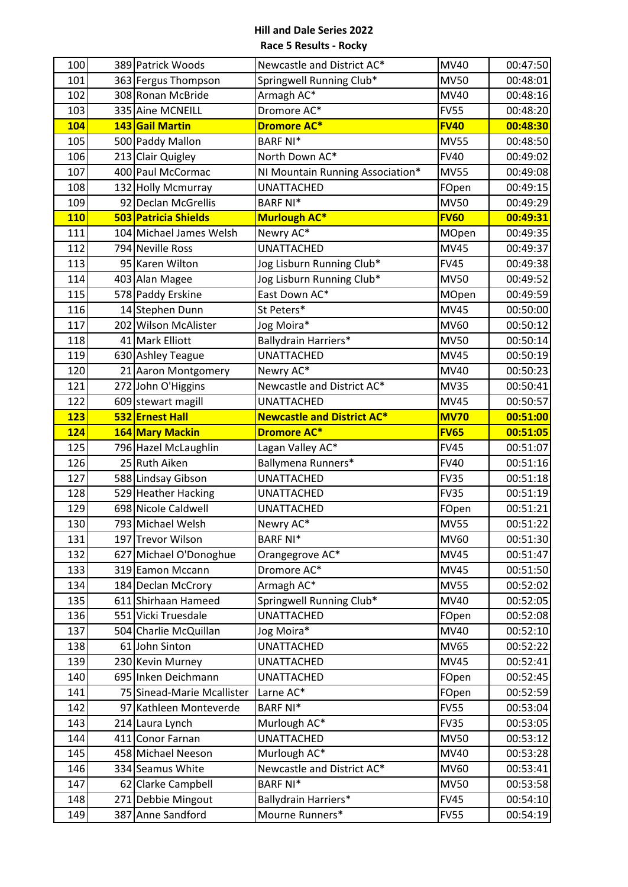| 100        | 389 Patrick Woods                       | Newcastle and District AC*              | MV40                       | 00:47:50             |
|------------|-----------------------------------------|-----------------------------------------|----------------------------|----------------------|
| 101        | 363 Fergus Thompson                     | Springwell Running Club*                | <b>MV50</b>                | 00:48:01             |
| 102        | 308 Ronan McBride                       | Armagh AC*                              | <b>MV40</b>                | 00:48:16             |
| 103        | 335 Aine MCNEILL                        | Dromore AC*                             | <b>FV55</b>                | 00:48:20             |
| 104        | 143 Gail Martin                         | <b>Dromore AC*</b>                      | <b>FV40</b>                | 00:48:30             |
| 105        | 500 Paddy Mallon                        | <b>BARF NI*</b>                         | <b>MV55</b>                | 00:48:50             |
| 106        | 213 Clair Quigley                       | North Down AC*                          | <b>FV40</b>                | 00:49:02             |
| 107        | 400 Paul McCormac                       | NI Mountain Running Association*        | <b>MV55</b>                | 00:49:08             |
| 108        | 132 Holly Mcmurray                      | <b>UNATTACHED</b>                       | FOpen                      | 00:49:15             |
| 109        | 92 Declan McGrellis                     | <b>BARF NI*</b>                         | <b>MV50</b>                | 00:49:29             |
| <b>110</b> | 503 Patricia Shields                    | <b>Murlough AC*</b>                     | <b>FV60</b>                | 00:49:31             |
| 111        | 104 Michael James Welsh                 | Newry AC*                               | <b>MOpen</b>               | 00:49:35             |
| 112        | 794 Neville Ross                        | <b>UNATTACHED</b>                       | <b>MV45</b>                | 00:49:37             |
| 113        | 95 Karen Wilton                         | Jog Lisburn Running Club*               | <b>FV45</b>                | 00:49:38             |
| 114        | 403 Alan Magee                          | Jog Lisburn Running Club*               | <b>MV50</b>                | 00:49:52             |
| 115        | 578 Paddy Erskine                       | East Down AC*                           | MOpen                      | 00:49:59             |
| 116        | 14 Stephen Dunn                         | St Peters*                              | <b>MV45</b>                | 00:50:00             |
| 117        | 202 Wilson McAlister                    | Jog Moira*                              | MV60                       | 00:50:12             |
| 118        | 41 Mark Elliott                         | Ballydrain Harriers*                    | <b>MV50</b>                | 00:50:14             |
| 119        | 630 Ashley Teague                       | <b>UNATTACHED</b>                       | <b>MV45</b>                | 00:50:19             |
| 120        | 21 Aaron Montgomery                     | Newry AC*                               | MV40                       | 00:50:23             |
| 121        | 272 John O'Higgins                      | Newcastle and District AC*              | <b>MV35</b>                | 00:50:41             |
| 122        | 609 stewart magill                      | <b>UNATTACHED</b>                       | <b>MV45</b>                | 00:50:57             |
| 123        | 532 Ernest Hall                         | <b>Newcastle and District AC*</b>       | <b>MV70</b>                | 00:51:00             |
| 124        | 164 Mary Mackin                         | <b>Dromore AC*</b>                      | <b>FV65</b>                | 00:51:05             |
| 125        | 796 Hazel McLaughlin                    | Lagan Valley AC*                        | <b>FV45</b>                | 00:51:07             |
|            |                                         |                                         |                            |                      |
| 126        | 25 Ruth Aiken                           | Ballymena Runners*                      | <b>FV40</b>                | 00:51:16             |
| 127        | 588 Lindsay Gibson                      | <b>UNATTACHED</b>                       | <b>FV35</b>                | 00:51:18             |
| 128        | 529 Heather Hacking                     | <b>UNATTACHED</b>                       | <b>FV35</b>                | 00:51:19             |
| 129        | 698 Nicole Caldwell                     | <b>UNATTACHED</b>                       | FOpen                      | 00:51:21             |
| 130        | 793 Michael Welsh                       | Newry AC*                               | <b>MV55</b>                | 00:51:22             |
| 131        | 197 Trevor Wilson                       | <b>BARF NI*</b>                         | <b>MV60</b>                | 00:51:30             |
| 132        | 627 Michael O'Donoghue                  | Orangegrove AC*                         | <b>MV45</b>                | 00:51:47             |
| 133        | 319 Eamon Mccann                        | Dromore AC*                             | <b>MV45</b>                | 00:51:50             |
| 134        | 184 Declan McCrory                      | Armagh AC*                              | <b>MV55</b>                | 00:52:02             |
| 135        | 611 Shirhaan Hameed                     | Springwell Running Club*                | MV40                       | 00:52:05             |
| 136        | 551 Vicki Truesdale                     | <b>UNATTACHED</b>                       | FOpen                      | 00:52:08             |
| 137        | 504 Charlie McQuillan                   | Jog Moira*                              | MV40                       | 00:52:10             |
| 138        | 61 John Sinton                          | <b>UNATTACHED</b>                       | <b>MV65</b>                | 00:52:22             |
| 139        | 230 Kevin Murney                        | <b>UNATTACHED</b>                       | <b>MV45</b>                | 00:52:41             |
| 140        | 695 Inken Deichmann                     | <b>UNATTACHED</b>                       | FOpen                      | 00:52:45             |
| 141        | 75 Sinead-Marie Mcallister              | Larne AC*                               | FOpen                      | 00:52:59             |
| 142        | 97 Kathleen Monteverde                  | <b>BARF NI*</b>                         | <b>FV55</b>                | 00:53:04             |
| 143        | 214 Laura Lynch                         | Murlough AC*                            | <b>FV35</b>                | 00:53:05             |
| 144        | 411 Conor Farnan                        | <b>UNATTACHED</b>                       | <b>MV50</b>                | 00:53:12             |
| 145        | 458 Michael Neeson                      | Murlough AC*                            | MV40                       | 00:53:28             |
| 146        | 334 Seamus White                        | Newcastle and District AC*              | MV60                       | 00:53:41             |
| 147        | 62 Clarke Campbell                      | <b>BARF NI*</b>                         | <b>MV50</b>                | 00:53:58             |
| 148<br>149 | 271 Debbie Mingout<br>387 Anne Sandford | Ballydrain Harriers*<br>Mourne Runners* | <b>FV45</b><br><b>FV55</b> | 00:54:10<br>00:54:19 |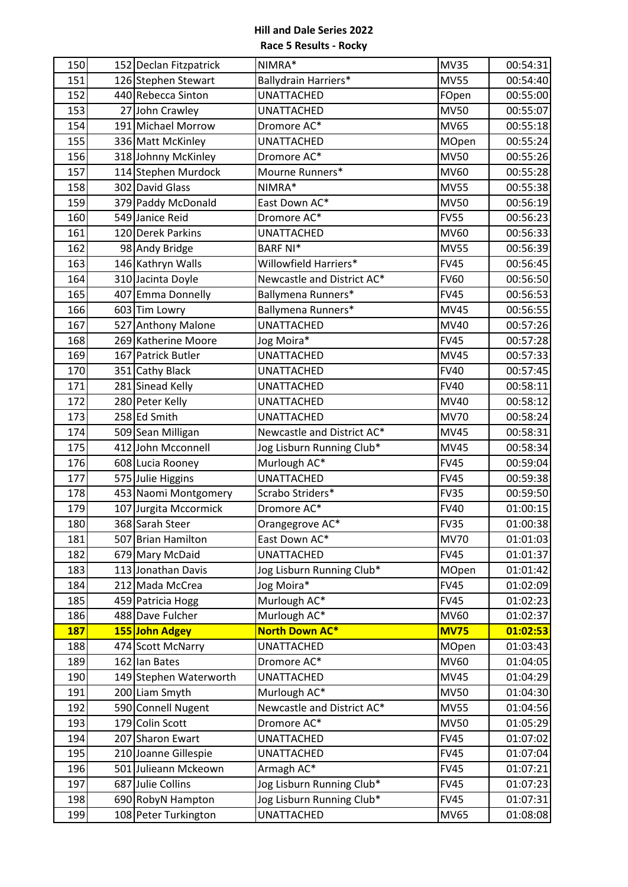| 150        | 152 Declan Fitzpatrick | NIMRA*                     | <b>MV35</b> | 00:54:31 |
|------------|------------------------|----------------------------|-------------|----------|
| 151        | 126 Stephen Stewart    | Ballydrain Harriers*       | <b>MV55</b> | 00:54:40 |
| 152        | 440 Rebecca Sinton     | <b>UNATTACHED</b>          | FOpen       | 00:55:00 |
| 153        | 27 John Crawley        | <b>UNATTACHED</b>          | <b>MV50</b> | 00:55:07 |
| 154        | 191 Michael Morrow     | Dromore AC*                | <b>MV65</b> | 00:55:18 |
| 155        | 336 Matt McKinley      | <b>UNATTACHED</b>          | MOpen       | 00:55:24 |
| 156        | 318 Johnny McKinley    | Dromore AC*                | <b>MV50</b> | 00:55:26 |
| 157        | 114 Stephen Murdock    | Mourne Runners*            | MV60        | 00:55:28 |
| 158        | 302 David Glass        | NIMRA*                     | <b>MV55</b> | 00:55:38 |
| 159        | 379 Paddy McDonald     | East Down AC*              | <b>MV50</b> | 00:56:19 |
| 160        | 549 Janice Reid        | Dromore AC*                | <b>FV55</b> | 00:56:23 |
| 161        | 120 Derek Parkins      | <b>UNATTACHED</b>          | MV60        | 00:56:33 |
| 162        | 98 Andy Bridge         | <b>BARF NI*</b>            | <b>MV55</b> | 00:56:39 |
| 163        | 146 Kathryn Walls      | Willowfield Harriers*      | <b>FV45</b> | 00:56:45 |
| 164        | 310 Jacinta Doyle      | Newcastle and District AC* | <b>FV60</b> | 00:56:50 |
| 165        | 407 Emma Donnelly      | Ballymena Runners*         | <b>FV45</b> | 00:56:53 |
| 166        | 603 Tim Lowry          | Ballymena Runners*         | <b>MV45</b> | 00:56:55 |
| 167        | 527 Anthony Malone     | <b>UNATTACHED</b>          | MV40        | 00:57:26 |
| 168        | 269 Katherine Moore    | Jog Moira*                 | <b>FV45</b> | 00:57:28 |
| 169        | 167 Patrick Butler     | <b>UNATTACHED</b>          | <b>MV45</b> | 00:57:33 |
| 170        | 351 Cathy Black        | <b>UNATTACHED</b>          | <b>FV40</b> | 00:57:45 |
| 171        | 281 Sinead Kelly       | <b>UNATTACHED</b>          | <b>FV40</b> | 00:58:11 |
| 172        | 280 Peter Kelly        | <b>UNATTACHED</b>          | MV40        | 00:58:12 |
| 173        | 258 Ed Smith           | <b>UNATTACHED</b>          | <b>MV70</b> | 00:58:24 |
| 174        | 509 Sean Milligan      | Newcastle and District AC* | <b>MV45</b> | 00:58:31 |
| 175        | 412 John Mcconnell     | Jog Lisburn Running Club*  | <b>MV45</b> | 00:58:34 |
| 176        | 608 Lucia Rooney       | Murlough AC*               | <b>FV45</b> | 00:59:04 |
| 177        | 575 Julie Higgins      | <b>UNATTACHED</b>          | <b>FV45</b> | 00:59:38 |
| 178        | 453 Naomi Montgomery   | Scrabo Striders*           | <b>FV35</b> | 00:59:50 |
| 179        | 107 Jurgita Mccormick  | Dromore AC*                | <b>FV40</b> | 01:00:15 |
| 180        | 368 Sarah Steer        | Orangegrove AC*            | <b>FV35</b> | 01:00:38 |
| 181        | 507 Brian Hamilton     | East Down AC*              | <b>MV70</b> | 01:01:03 |
| 182        | 679 Mary McDaid        | <b>UNATTACHED</b>          | <b>FV45</b> | 01:01:37 |
| 183        | 113 Jonathan Davis     | Jog Lisburn Running Club*  | MOpen       | 01:01:42 |
| 184        | 212 Mada McCrea        | Jog Moira*                 | <b>FV45</b> | 01:02:09 |
| 185        | 459 Patricia Hogg      | Murlough AC*               | <b>FV45</b> | 01:02:23 |
| 186        | 488 Dave Fulcher       | Murlough AC*               | <b>MV60</b> | 01:02:37 |
| <b>187</b> | 155 John Adgey         | <b>North Down AC*</b>      | <b>MV75</b> | 01:02:53 |
| 188        | 474 Scott McNarry      | <b>UNATTACHED</b>          | MOpen       | 01:03:43 |
| 189        | 162 lan Bates          | Dromore AC*                | MV60        | 01:04:05 |
| 190        | 149 Stephen Waterworth | <b>UNATTACHED</b>          | <b>MV45</b> | 01:04:29 |
| 191        | 200 Liam Smyth         | Murlough AC*               | <b>MV50</b> | 01:04:30 |
| 192        | 590 Connell Nugent     | Newcastle and District AC* | <b>MV55</b> | 01:04:56 |
| 193        | 179 Colin Scott        | Dromore AC*                | <b>MV50</b> | 01:05:29 |
| 194        | 207 Sharon Ewart       | <b>UNATTACHED</b>          | <b>FV45</b> | 01:07:02 |
| 195        | 210 Joanne Gillespie   | <b>UNATTACHED</b>          | <b>FV45</b> | 01:07:04 |
| 196        | 501 Julieann Mckeown   | Armagh AC*                 | <b>FV45</b> | 01:07:21 |
| 197        | 687 Julie Collins      | Jog Lisburn Running Club*  | <b>FV45</b> | 01:07:23 |
| 198        | 690 RobyN Hampton      | Jog Lisburn Running Club*  | <b>FV45</b> | 01:07:31 |
| 199        | 108 Peter Turkington   | <b>UNATTACHED</b>          | MV65        | 01:08:08 |